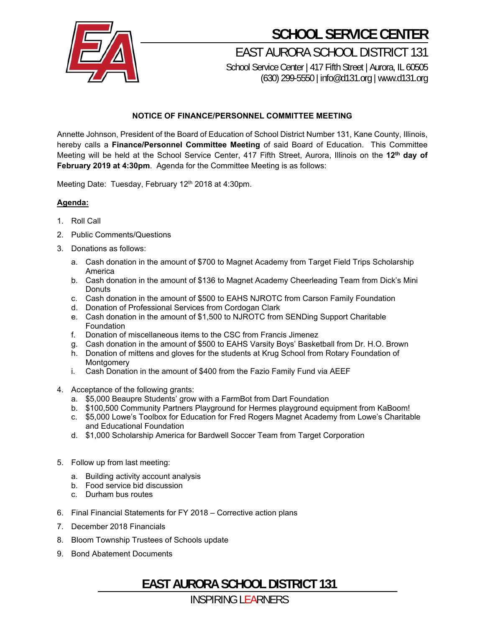

## **SCHOOL SERVICE CENTER**

EAST AURORA SCHOOL DISTRICT 131

School Service Center | 417 Fifth Street | Aurora, IL 60505 (630) 299-5550 | info@d131.org | www.d131.org

## **NOTICE OF FINANCE/PERSONNEL COMMITTEE MEETING**

Annette Johnson, President of the Board of Education of School District Number 131, Kane County, Illinois, hereby calls a **Finance/Personnel Committee Meeting** of said Board of Education. This Committee Meeting will be held at the School Service Center, 417 Fifth Street, Aurora, Illinois on the **12th day of February 2019 at 4:30pm**. Agenda for the Committee Meeting is as follows:

Meeting Date: Tuesday, February 12<sup>th</sup> 2018 at 4:30pm.

## **Agenda:**

- 1. Roll Call
- 2. Public Comments/Questions
- 3. Donations as follows:
	- a. Cash donation in the amount of \$700 to Magnet Academy from Target Field Trips Scholarship America
	- b. Cash donation in the amount of \$136 to Magnet Academy Cheerleading Team from Dick's Mini **Donuts**
	- c. Cash donation in the amount of \$500 to EAHS NJROTC from Carson Family Foundation
	- d. Donation of Professional Services from Cordogan Clark
	- e. Cash donation in the amount of \$1,500 to NJROTC from SENDing Support Charitable Foundation
	- f. Donation of miscellaneous items to the CSC from Francis Jimenez
	- g. Cash donation in the amount of \$500 to EAHS Varsity Boys' Basketball from Dr. H.O. Brown
	- h. Donation of mittens and gloves for the students at Krug School from Rotary Foundation of Montgomery
	- i. Cash Donation in the amount of \$400 from the Fazio Family Fund via AEEF
- 4. Acceptance of the following grants:
	- a. \$5,000 Beaupre Students' grow with a FarmBot from Dart Foundation
	- b. \$100,500 Community Partners Playground for Hermes playground equipment from KaBoom!
	- c. \$5,000 Lowe's Toolbox for Education for Fred Rogers Magnet Academy from Lowe's Charitable and Educational Foundation
	- d. \$1,000 Scholarship America for Bardwell Soccer Team from Target Corporation
- 5. Follow up from last meeting:
	- a. Building activity account analysis
	- b. Food service bid discussion
	- c. Durham bus routes
- 6. Final Financial Statements for FY 2018 Corrective action plans
- 7. December 2018 Financials
- 8. Bloom Township Trustees of Schools update
- 9. Bond Abatement Documents

**EAST AURORA SCHOOL DISTRICT 131**